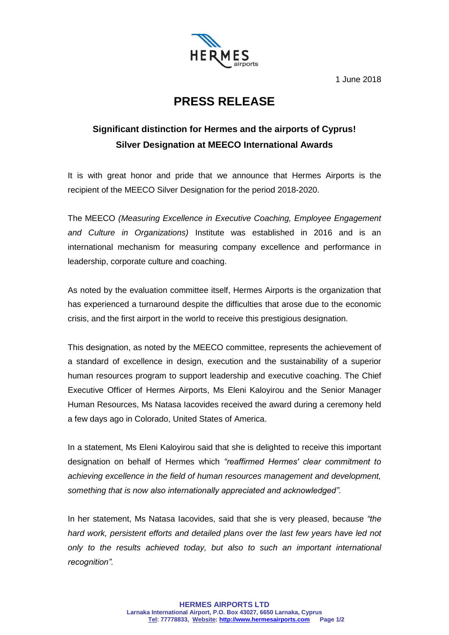

1 June 2018

## **PRESS RELEASE**

## **Significant distinction for Hermes and the airports of Cyprus! Silver Designation at MEECO International Awards**

It is with great honor and pride that we announce that Hermes Airports is the recipient of the MEECO Silver Designation for the period 2018-2020.

The MEECO *(Measuring Excellence in Executive Coaching, Employee Engagement and Culture in Organizations)* Institute was established in 2016 and is an international mechanism for measuring company excellence and performance in leadership, corporate culture and coaching.

As noted by the evaluation committee itself, Hermes Airports is the organization that has experienced a turnaround despite the difficulties that arose due to the economic crisis, and the first airport in the world to receive this prestigious designation.

This designation, as noted by the MEECO committee, represents the achievement of a standard of excellence in design, execution and the sustainability of a superior human resources program to support leadership and executive coaching. The Chief Executive Officer of Hermes Airports, Ms Eleni Kaloyirou and the Senior Manager Human Resources, Ms Natasa Iacovides received the award during a ceremony held a few days ago in Colorado, United States of America.

In a statement, Ms Eleni Kaloyirou said that she is delighted to receive this important designation on behalf of Hermes which *"reaffirmed Hermes' clear commitment to achieving excellence in the field of human resources management and development, something that is now also internationally appreciated and acknowledged".*

In her statement, Ms Natasa Iacovides, said that she is very pleased, because *"the hard work, persistent efforts and detailed plans over the last few years have led not only to the results achieved today, but also to such an important international recognition".*